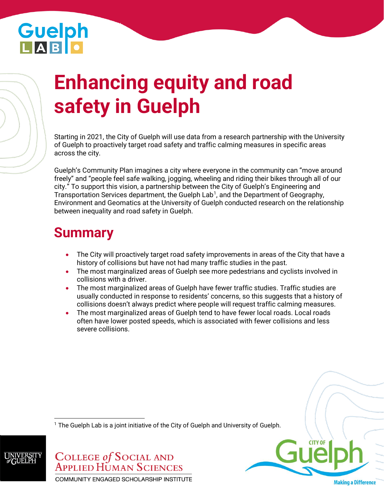# **Guelph**<br>LAB D

Guelph lab

## **Enhancing equity and road safety in Guelph**

Starting in 2021, the City of Guelph will use data from a research partnership with the University of Guelph to proactively target road safety and traffic calming measures in specific areas across the city.

Guelph's Community Plan imagines a city where everyone in the community can "move around freely" and "people feel safe walking, jogging, wheeling and riding their bikes through all of our city." To support this vision, a partnership between the City of Guelph's Engineering and Transportation Services department, the Guelph Lab<sup>1</sup>, and the Department of Geography, Environment and Geomatics at the University of Guelph conducted research on the relationship between inequality and road safety in Guelph.

### **Summary**

- The City will proactively target road safety improvements in areas of the City that have a history of collisions but have not had many traffic studies in the past.
- The most marginalized areas of Guelph see more pedestrians and cyclists involved in collisions with a driver.
- The most marginalized areas of Guelph have fewer traffic studies. Traffic studies are usually conducted in response to residents' concerns, so this suggests that a history of collisions doesn't always predict where people will request traffic calming measures.
- The most marginalized areas of Guelph tend to have fewer local roads. Local roads often have lower posted speeds, which is associated with fewer collisions and less severe collisions.

 $1$  The Guelph Lab is a joint initiative of the City of Guelph and University of Guelph.



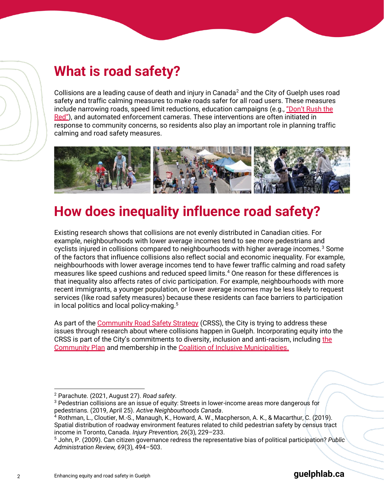#### **What is road safety?**

Collisions are a leading cause of death and injury in Canada<sup>2</sup> and the City of Guelph uses road safety and traffic calming measures to make roads safer for all road users. These measures include narrowing roads, speed limit reductions, education campaigns (e.g., ["Don't Rush the](https://www.youtube.com/watch?v=1tDZ1uVKcxs&ab_channel=GuelphCommunications) [Red](https://www.youtube.com/watch?v=1tDZ1uVKcxs&ab_channel=GuelphCommunications)"), and automated enforcement cameras. These interventions are often initiated in response to community concerns, so residents also play an important role in planning traffic calming and road safety measures.



#### **How does inequality influence road safety?**

Existing research shows that collisions are not evenly distributed in Canadian cities. For example, neighbourhoods with lower average incomes tend to see more pedestrians and cyclists injured in collisions compared to neighbourhoods with higher average incomes.<sup>3</sup> Some of the factors that influence collisions also reflect social and economic inequality. For example, neighbourhoods with lower average incomes tend to have fewer traffic calming and road safety measures like speed cushions and reduced speed limits.<sup>4</sup> One reason for these differences is that inequality also affects rates of civic participation. For example, neighbourhoods with more recent immigrants, a younger population, or lower average incomes may be less likely to request services (like road safety measures) because these residents can face barriers to participation in local politics and local policy-making.<sup>5</sup>

As part of the [Community Road Safety Strategy](https://guelph.ca/plans-and-strategies/community-road-safety-strategy/) (CRSS), the City is trying to address these issues through research about where collisions happen in Guelph. Incorporating equity into the CRSS is part of the City's commitments to diversity, inclusion and anti-racism, including the [Community Plan](https://guelph.ca/2021/03/examining-the-impacts-of-systemic-racism-in-guelph/) and membership in the [Coalition of Inclusive Municipalities.](https://guelph.ca/2021/01/guelph-will-join-coalition-of-inclusive-municipalities/)

<sup>2</sup> Parachute. (2021, August 27). *Road safety*.

<sup>3</sup> Pedestrian collisions are an issue of equity: Streets in lower-income areas more dangerous for pedestrians. (2019, April 25). *Active Neighbourhoods Canada*.

<sup>4</sup> Rothman, L., Cloutier, M.-S., Manaugh, K., Howard, A. W., Macpherson, A. K., & Macarthur, C. (2019). Spatial distribution of roadway environment features related to child pedestrian safety by census tract income in Toronto, Canada. *Injury Prevention, 26*(3), 229–233.

<sup>5</sup> John, P. (2009). Can citizen governance redress the representative bias of political participation? *Public Administration Review, 69*(3), 494–503.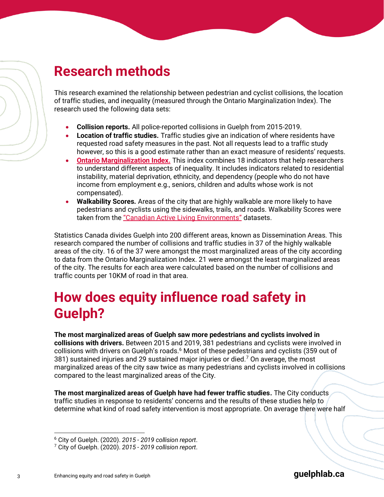#### **Research methods**

This research examined the relationship between pedestrian and cyclist collisions, the location of traffic studies, and inequality (measured through the Ontario Marginalization Index). The research used the following data sets:

- **Collision reports.** All police-reported collisions in Guelph from 2015-2019.
- **Location of traffic studies.** Traffic studies give an indication of where residents have requested road safety measures in the past. Not all requests lead to a traffic study however, so this is a good estimate rather than an exact measure of residents' requests.
- **[Ontario Marginalization Index.](https://www.publichealthontario.ca/en/data-and-analysis/health-equity/ontario-marginalization-index)** This index combines 18 indicators that help researchers to understand different aspects of inequality. It includes indicators related to residential instability, material deprivation, ethnicity, and dependency (people who do not have income from employment e.g., seniors, children and adults whose work is not compensated).
- **Walkability Scores.** Areas of the city that are highly walkable are more likely to have pedestrians and cyclists using the sidewalks, trails, and roads. Walkability Scores were taken from the "[Canadian Active Living Environments](https://www.canuedata.ca/metadata.php)" datasets.

Statistics Canada divides Guelph into 200 different areas, known as Dissemination Areas. This research compared the number of collisions and traffic studies in 37 of the highly walkable areas of the city. 16 of the 37 were amongst the most marginalized areas of the city according to data from the Ontario Marginalization Index. 21 were amongst the least marginalized areas of the city. The results for each area were calculated based on the number of collisions and traffic counts per 10KM of road in that area.

#### **How does equity influence road safety in Guelph?**

**The most marginalized areas of Guelph saw more pedestrians and cyclists involved in collisions with drivers.** Between 2015 and 2019, 381 pedestrians and cyclists were involved in collisions with drivers on Guelph's roads.<sup>6</sup> Most of these pedestrians and cyclists (359 out of 381) sustained injuries and 29 sustained major injuries or died.<sup>7</sup> On average, the most marginalized areas of the city saw twice as many pedestrians and cyclists involved in collisions compared to the least marginalized areas of the City.

**The most marginalized areas of Guelph have had fewer traffic studies.** The City conducts traffic studies in response to residents' concerns and the results of these studies help to determine what kind of road safety intervention is most appropriate. On average there were half

<sup>6</sup> City of Guelph. (2020). *2015 - 2019 collision report*.

<sup>7</sup> City of Guelph. (2020). *2015 - 2019 collision report*.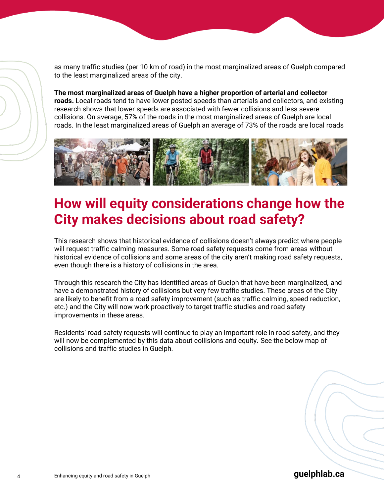as many traffic studies (per 10 km of road) in the most marginalized areas of Guelph compared to the least marginalized areas of the city.

**The most marginalized areas of Guelph have a higher proportion of arterial and collector roads.** Local roads tend to have lower posted speeds than arterials and collectors, and existing research shows that lower speeds are associated with fewer collisions and less severe collisions. On average, 57% of the roads in the most marginalized areas of Guelph are local roads. In the least marginalized areas of Guelph an average of 73% of the roads are local roads



#### **How will equity considerations change how the City makes decisions about road safety?**

This research shows that historical evidence of collisions doesn't always predict where people will request traffic calming measures. Some road safety requests come from areas without historical evidence of collisions and some areas of the city aren't making road safety requests, even though there is a history of collisions in the area.

Through this research the City has identified areas of Guelph that have been marginalized, and have a demonstrated history of collisions but very few traffic studies. These areas of the City are likely to benefit from a road safety improvement (such as traffic calming, speed reduction, etc.) and the City will now work proactively to target traffic studies and road safety improvements in these areas.

Residents' road safety requests will continue to play an important role in road safety, and they will now be complemented by this data about collisions and equity. See the below map of collisions and traffic studies in Guelph.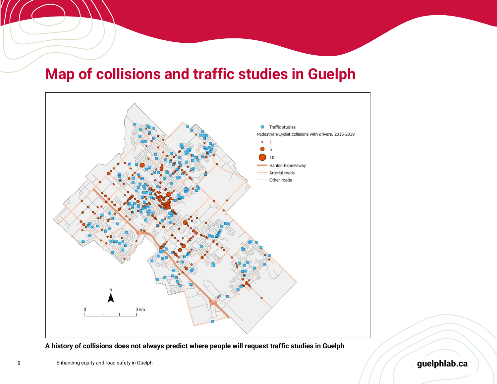### **Map of collisions and traffic studies in Guelph**



**A history of collisions does not always predict where people will request traffic studies in Guelph**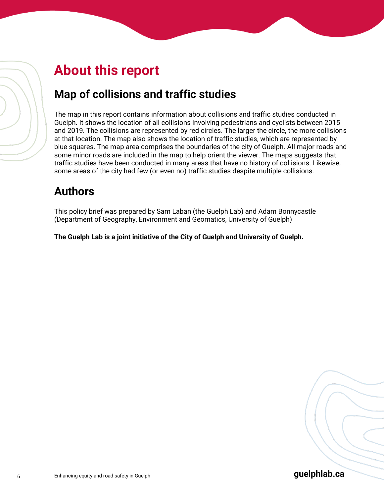#### **About this report**

#### **Map of collisions and traffic studies**

The map in this report contains information about collisions and traffic studies conducted in Guelph. It shows the location of all collisions involving pedestrians and cyclists between 2015 and 2019. The collisions are represented by red circles. The larger the circle, the more collisions at that location. The map also shows the location of traffic studies, which are represented by blue squares. The map area comprises the boundaries of the city of Guelph. All major roads and some minor roads are included in the map to help orient the viewer. The maps suggests that traffic studies have been conducted in many areas that have no history of collisions. Likewise, some areas of the city had few (or even no) traffic studies despite multiple collisions.

#### **Authors**

This policy brief was prepared by Sam Laban (the Guelph Lab) and Adam Bonnycastle (Department of Geography, Environment and Geomatics, University of Guelph)

**The Guelph Lab is a joint initiative of the City of Guelph and University of Guelph.**